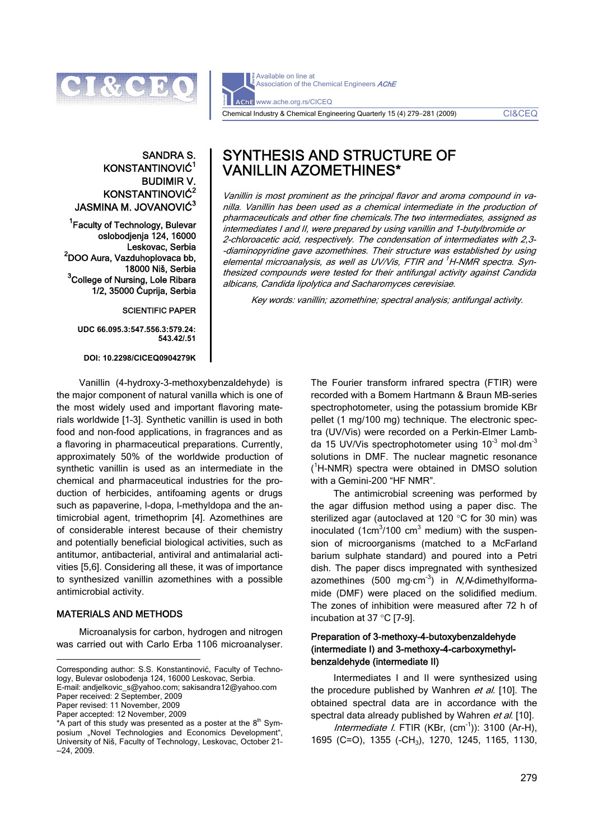

Available on line at Association of the Chemical Engineers AChE AChE www.ache.org.rs/CICEQ Chemical Industry & Chemical Engineering Quarterly 15 (4) 279−281 (2009) CI&CEQ

# SANDRA S. KONSTANTINOVIĆ1 BUDIMIR V. KONSTANTINOVIĆ<sup>2</sup> JASMINA M. JOVANOVIĆ $3$

<sup>1</sup> Faculty of Technology, Bulevar oslobodjenja 124, 16000 Leskovac, Serbia<br><sup>2</sup>DOO Aura, Vazduhoplovaca bb, 18000 Niš, Serbia 3 College of Nursing, Lole Ribara 1/2, 35000 Ćuprija, Serbia

## SCIENTIFIC PAPER

**UDC 66.095.3:547.556.3:579.24: 543.42/.51** 

**DOI: 10.2298/CICEQ0904279K** 

Vanillin (4-hydroxy-3-methoxybenzaldehyde) is the major component of natural vanilla which is one of the most widely used and important flavoring materials worldwide [1–3]. Synthetic vanillin is used in both food and non-food applications, in fragrances and as a flavoring in pharmaceutical preparations. Currently, approximately 50% of the worldwide production of synthetic vanillin is used as an intermediate in the chemical and pharmaceutical industries for the production of herbicides, antifoaming agents or drugs such as papaverine, l-dopa, l-methyldopa and the antimicrobial agent, trimethoprim [4]. Azomethines are of considerable interest because of their chemistry and potentially beneficial biological activities, such as antitumor, antibacterial, antiviral and antimalarial activities [5,6]. Considering all these, it was of importance to synthesized vanillin azomethines with a possible antimicrobial activity.

## MATERIALS AND METHODS

Microanalysis for carbon, hydrogen and nitrogen was carried out with Carlo Erba 1106 microanalyser.

E-mail: andjelkovic\_s@yahoo.com; sakisandra12@yahoo.com Paper received: 2 September, 2009

Paper revised: 11 November, 2009 Paper accepted: 12 November, 2009  SYNTHESIS AND STRUCTURE OF VANILLIN AZOMETHINES\*

Vanillin is most prominent as the principal flavor and aroma compound in vanilla. Vanillin has been used as a chemical intermediate in the production of pharmaceuticals and other fine chemicals.The two intermediates, assigned as intermediates I and II, were prepared by using vanillin and 1-butylbromide or 2-chloroacetic acid, respectively. The condensation of intermediates with 2,3- -diaminopyridine gave azomethines. Their structure was established by using elemental microanalysis, as well as UV/Vis, FTIR and <sup>1</sup>H-NMR spectra. Synthesized compounds were tested for their antifungal activity against Candida albicans, Candida lipolytica and Sacharomyces cerevisiae.

Key words: vanillin; azomethine; spectral analysis; antifungal activity.

The Fourier transform infrared spectra (FTIR) were recorded with a Bomem Hartmann & Braun MB-series spectrophotometer, using the potassium bromide KBr pellet (1 mg/100 mg) technique. The electronic spectra (UV/Vis) were recorded on a Perkin-Elmer Lambda 15 UV/Vis spectrophotometer using  $10^{-3}$  mol $\cdot$ dm<sup>-3</sup> solutions in DMF. The nuclear magnetic resonance ( 1 H-NMR) spectra were obtained in DMSO solution with a Gemini-200 "HF NMR".

The antimicrobial screening was performed by the agar diffusion method using a paper disc. The sterilized agar (autoclaved at 120 °C for 30 min) was inoculated  $(1cm<sup>3</sup>/100 cm<sup>3</sup>$  medium) with the suspension of microorganisms (matched to a McFarland barium sulphate standard) and poured into a Petri dish. The paper discs impregnated with synthesized azomethines (500 mg⋅cm<sup>-3</sup>) in  $N$ ,  $N$ -dimethylformamide (DMF) were placed on the solidified medium. The zones of inhibition were measured after 72 h of incubation at 37 °C [7-9].

## Preparation of 3-methoxy-4-butoxybenzaldehyde (intermediate I) and 3-methoxy-4-carboxymethylbenzaldehyde (intermediate II)

Intermediates I and II were synthesized using the procedure published by Wanhren et al. [10]. The obtained spectral data are in accordance with the spectral data already published by Wahren et al. [10].

Intermediate I. FTIR  $(KBr, (cm^{-1}))$ : 3100  $(Ar-H)$ , 1695 (C=O), 1355 (-CH3), 1270, 1245, 1165, 1130,

 $\overline{a}$ Corresponding author: S.S. Konstantinović, Faculty of Technology, Bulevar oslobođenja 124, 16000 Leskovac, Serbia.

<sup>\*</sup>A part of this study was presented as a poster at the  $8<sup>th</sup>$  Symposium "Novel Technologies and Economics Development", University of Niš, Faculty of Technology, Leskovac, October 21– -–24, 2009.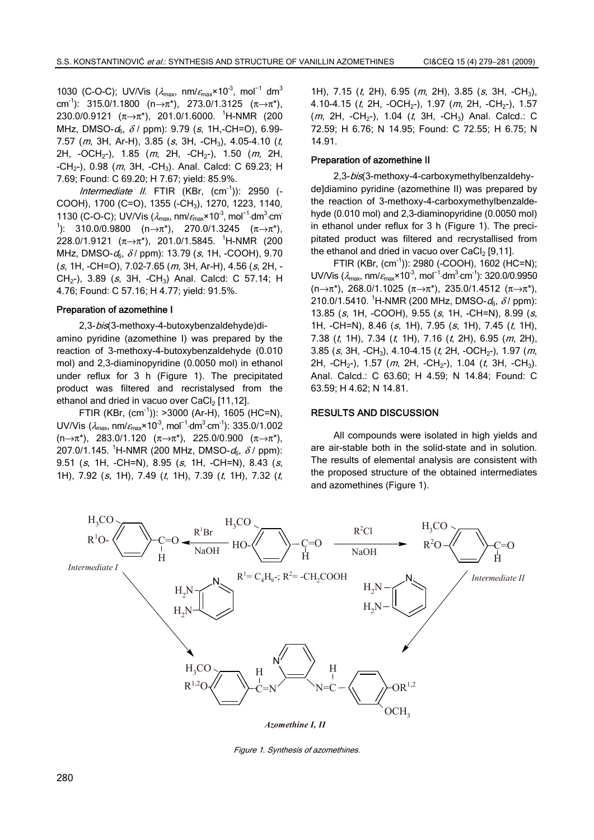1030 (C-O-C); UV/Vis ( $\lambda_{\text{max}}$ , nm/ $\varepsilon_{\text{max}}$ ×10<sup>-3</sup>, mol<sup>-1</sup> dm<sup>3</sup> cm<sup>-1</sup>): 315.0/1.1800 (n→π<sup>\*</sup>), 273.0/1.3125 ( $\pi \rightarrow \pi^*$ ), 230.0/0.9121 (π→π\*), 201.0/1.6000. <sup>1</sup>H-NMR (200 MHz, DMSO- $d_6$ ,  $\delta$  / ppm): 9.79 (s, 1H,-CH=O), 6.99-7.57 (m, 3H, Ar-H), 3.85 (s, 3H, -CH<sub>3</sub>), 4.05-4.10 (t, 2H,  $-OCH_{2}$ -), 1.85 (m, 2H,  $-CH_{2}$ -), 1.50 (m, 2H, -CH<sub>2</sub>-), 0.98 (*m*, 3H, -CH<sub>3</sub>). Anal. Calcd: C 69.23; H 7.69; Found: C 69.20; H 7.67; yield: 85.9%.

Intermediate II. FTIR (KBr,  $(cm^{-1})$ ): 2950 (-COOH), 1700 (C=O), 1355 (-CH3), 1270, 1223, 1140, 1130 (C-O-C); UV/Vis ( $\lambda_{\text{max}}$ , nm/ $\varepsilon_{\text{max}}$ ×10<sup>-3</sup>, mol<sup>-1</sup>·dm<sup>3</sup>·cm <sup>1</sup>): 310.0/0.9800 (n→π<sup>\*</sup>), 270.0/1.3245 (π→π<sup>\*</sup>), 228.0/1.9121 (π→π\*), 201.0/1.5845. <sup>1</sup>H-NMR (200 MHz, DMSO- $d_6$ ,  $\delta$ / ppm): 13.79 (s, 1H, -COOH), 9.70  $(s, 1H, -CH=O), 7.02-7.65$  (*m*, 3H, Ar-H), 4.56 (*s*, 2H, -CH<sub>2</sub>-), 3.89 (s, 3H, -CH<sub>3</sub>) Anal. Calcd: C 57.14; H 4.76; Found: C 57.16; H 4.77; yield: 91.5%.

#### Preparation of azomethine I

2,3-bis(3-methoxy-4-butoxybenzaldehyde)diamino pyridine (azomethine I) was prepared by the reaction of 3-methoxy-4-butoxybenzaldehyde (0.010 mol) and 2,3-diaminopyridine (0.0050 mol) in ethanol under reflux for 3 h (Figure 1). The precipitated product was filtered and recristalysed from the ethanol and dried in vacuo over  $CaCl<sub>2</sub>$  [11,12].

FTIR (KBr,  $(cm^{-1})$ ): >3000 (Ar-H), 1605 (HC=N), UV/Vis ( $\lambda_{\sf max}$ , nm/ $\varepsilon_{\sf max}$ ×10<sup>-3</sup>, mol<sup>-1.</sup>dm<sup>3.</sup>cm<sup>-1</sup>): 335.0/1.002  $(n\rightarrow \pi^*)$ , 283.0/1.120  $(\pi \rightarrow \pi^*)$ , 225.0/0.900  $(\pi \rightarrow \pi^*)$ , 207.0/1.145. <sup>1</sup>H-NMR (200 MHz, DMSO- $d_6$ ,  $\delta$  / ppm): 9.51 (s, 1H, -CH=N), 8.95 (s, 1H, -CH=N), 8.43 (s, 1H), 7.92 (s, 1H), 7.49 (t, 1H), 7.39 (t, 1H), 7.32 (t,

1H), 7.15  $(t, 2H)$ , 6.95  $(m, 2H)$ , 3.85  $(s, 3H, -CH<sub>3</sub>)$ , 4.10-4.15 (t, 2H, -OCH<sub>2</sub>-), 1.97 (m, 2H, -CH<sub>2</sub>-), 1.57  $(m, 2H, -CH_{2}^{-})$ , 1.04  $(t, 3H, -CH_{3})$  Anal. Calcd.: C 72.59; H 6.76; N 14.95; Found: C 72.55; H 6.75; N 14.91.

#### Preparation of azomethine II

2,3-bis(3-methoxy-4-carboxymethylbenzaldehyde]diamino pyridine (azomethine II) was prepared by the reaction of 3-methoxy-4-carboxymethylbenzaldehyde (0.010 mol) and 2,3-diaminopyridine (0.0050 mol) in ethanol under reflux for 3 h (Figure 1). The precipitated product was filtered and recrystallised from the ethanol and dried in vacuo over  $CaCl<sub>2</sub>$  [9,11].

FTIR (KBr, (cm-1)): 2980 (-COOH), 1602 (HC=N); UV/Vis ( $\lambda_{\text{max}}$ , nm/ $\varepsilon_{\text{max}}$ ×10<sup>-3</sup>, mol<sup>-1</sup>·dm<sup>3</sup>·cm<sup>-1</sup>): 320.0/0.9950 (n→π\*), 268.0/1.1025 (π→π\*), 235.0/1.4512 (π→π\*), 210.0/1.5410. <sup>1</sup>H-NMR (200 MHz, DMSO- $d_6$ ,  $\delta$ / ppm): 13.85 (s, 1H, -COOH), 9.55 (s, 1H, -CH=N), 8.99 (s, 1H, -CH=N), 8.46 (s, 1H), 7.95 (s, 1H), 7.45 (t, 1H), 7.38  $(t, 1H)$ , 7.34  $(t, 1H)$ , 7.16  $(t, 2H)$ , 6.95  $(m, 2H)$ , 3.85 (s, 3H, -CH<sub>3</sub>), 4.10-4.15 (t, 2H, -OCH<sub>2</sub>-), 1.97 (m, 2H,  $-CH_{2}$ -), 1.57 (*m*, 2H,  $-CH_{2}$ -), 1.04 (*t*, 3H,  $-CH_{3}$ ). Anal. Calcd.: C 63.60; H 4.59; N 14.84; Found: C 63.59; H 4.62; N 14.81.

## RESULTS AND DISCUSSION

All compounds were isolated in high yields and are air-stable both in the solid-state and in solution. The results of elemental analysis are consistent with the proposed structure of the obtained intermediates and azomethines (Figure 1).



Figure 1. Synthesis of azomethines.